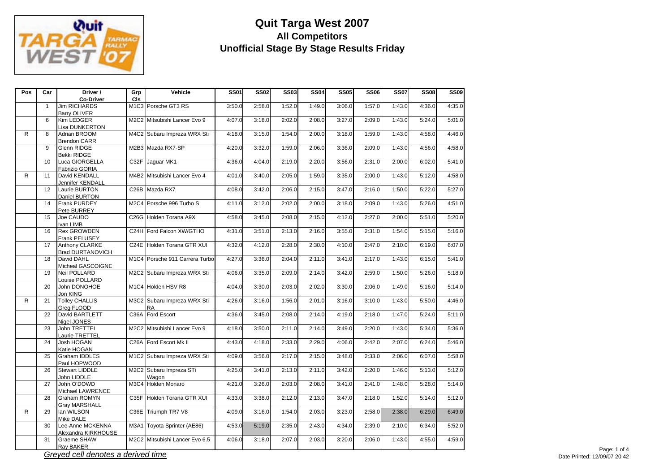

| Pos | Car             | Driver /<br><b>Co-Driver</b>              | Grp<br>CIS | Vehicle                                  | <b>SS01</b> | <b>SS02</b> | <b>SS03</b> | <b>SS04</b> | <b>SS05</b> | <b>SS06</b> | <b>SS07</b> | <b>SS08</b> | <b>SS09</b> |
|-----|-----------------|-------------------------------------------|------------|------------------------------------------|-------------|-------------|-------------|-------------|-------------|-------------|-------------|-------------|-------------|
|     | $\mathbf{1}$    | Jim RICHARDS<br><b>Barry OLIVER</b>       |            | M1C3 Porsche GT3 RS                      | 3:50.0      | 2:58.0      | 1:52.0      | 1:49.0      | 3:06.0      | 1:57.0      | 1:43.0      | 4:36.0      | 4:35.0      |
|     | 6               | Kim LEDGER<br>Lisa DUNKERTON              |            | M2C2 Mitsubishi Lancer Evo 9             | 4:07.0      | 3:18.0      | 2:02.0      | 2:08.0      | 3:27.0      | 2:09.0      | 1:43.0      | 5:24.0      | 5:01.0      |
| R   | 8               | Adrian BROOM<br><b>Brendon CARR</b>       |            | M4C2 Subaru Impreza WRX Sti              | 4:18.0      | 3:15.0      | 1:54.0      | 2:00.0      | 3:18.0      | 1:59.0      | 1:43.0      | 4:58.0      | 4:46.0      |
|     | 9               | Glenn RIDGE<br>Bekki RIDGE                |            | M2B3 Mazda RX7-SP                        | 4:20.0      | 3:32.0      | 1:59.0      | 2:06.0      | 3:36.0      | 2:09.0      | 1:43.0      | 4:56.0      | 4:58.0      |
|     | 10              | Luca GIORGELLA<br>Fabrizio GORIA          |            | C32F Jaguar MK1                          | 4:36.0      | 4:04.0      | 2:19.0      | 2:20.0      | 3:56.0      | 2:31.0      | 2:00.0      | 6:02.0      | 5:41.0      |
| R.  | 11              | David KENDALL<br>Jennifer KENDALL         |            | M4B2 Mitsubishi Lancer Evo 4             | 4:01.0      | 3:40.0      | 2:05.0      | 1:59.0      | 3:35.0      | 2:00.0      | 1:43.0      | 5:12.0      | 4:58.0      |
|     | 12              | Laurie BURTON<br>Daniel BURTON            |            | C26B Mazda RX7                           | 4:08.0      | 3:42.0      | 2:06.0      | 2:15.0      | 3:47.0      | 2:16.0      | 1:50.0      | 5:22.0      | 5:27.0      |
|     | 14              | <b>Frank PURDEY</b><br>Pete BURREY        |            | M2C4 Porsche 996 Turbo S                 | 4:11.0      | 3:12.0      | 2:02.0      | 2:00.0      | 3:18.0      | 2:09.0      | 1:43.0      | 5:26.0      | 4:51.0      |
|     | 15              | Joe CAUDO<br>Ivan LIMB                    |            | C26G Holden Torana A9X                   | 4:58.0      | 3:45.0      | 2:08.0      | 2:15.0      | 4:12.0      | 2:27.0      | 2:00.0      | 5:51.0      | 5:20.0      |
|     | 16              | <b>Rex GROWDEN</b><br>Frank PELUSEY       |            | C24H Ford Falcon XW/GTHO                 | 4:31.0      | 3:51.0      | 2:13.0      | 2:16.0      | 3:55.0      | 2:31.0      | 1:54.0      | 5:15.0      | 5:16.0      |
|     | 17              | Anthony CLARKE<br><b>Brad DURTANOVICH</b> |            | C24E Holden Torana GTR XUI               | 4:32.0      | 4:12.0      | 2:28.0      | 2:30.0      | 4:10.0      | 2:47.0      | 2:10.0      | 6:19.0      | 6:07.0      |
|     | 18              | David DAHL<br>Micheal GASCOIGNE           |            | M1C4 Porsche 911 Carrera Turbo           | 4:27.0      | 3:36.0      | 2:04.0      | 2:11.0      | 3:41.0      | 2:17.0      | 1:43.0      | 6:15.0      | 5:41.0      |
|     | 19              | Neil POLLARD<br>Louise POLLARD            |            | M2C2 Subaru Impreza WRX Sti              | 4:06.0      | 3:35.0      | 2:09.0      | 2:14.0      | 3:42.0      | 2:59.0      | 1:50.0      | 5:26.0      | 5:18.0      |
|     | 20              | John DONOHOE<br>Jon KING                  |            | M1C4 Holden HSV R8                       | 4:04.0      | 3:30.0      | 2:03.0      | 2:02.0      | 3:30.0      | 2:06.0      | 1:49.0      | 5:16.0      | 5:14.0      |
| R.  | 21              | <b>Tolley CHALLIS</b><br>Greg FLOOD       |            | M3C2 Subaru Impreza WRX Sti<br><b>RA</b> | 4:26.0      | 3:16.0      | 1:56.0      | 2:01.0      | 3:16.0      | 3:10.0      | 1:43.0      | 5:50.0      | 4:46.0      |
|     | 22              | David BARTLETT<br>Nigel JONES             |            | C36A Ford Escort                         | 4:36.0      | 3:45.0      | 2:08.0      | 2:14.0      | 4:19.0      | 2:18.0      | 1:47.0      | 5:24.0      | 5:11.0      |
|     | 23              | John TRETTEL<br>Laurie TRETTEL            |            | M2C2 Mitsubishi Lancer Evo 9             | 4:18.0      | 3:50.0      | 2:11.0      | 2:14.0      | 3:49.0      | 2:20.0      | 1:43.0      | 5:34.0      | 5:36.0      |
|     | $\overline{24}$ | Josh HOGAN<br>Katie HOGAN                 |            | C26A Ford Escort Mk II                   | 4:43.0      | 4:18.0      | 2:33.0      | 2:29.0      | 4:06.0      | 2:42.0      | 2:07.0      | 6:24.0      | 5:46.0      |
|     | 25              | Graham IDDLES<br>Paul HOPWOOD             |            | M1C2 Subaru Impreza WRX Sti              | 4:09.0      | 3:56.0      | 2:17.0      | 2:15.0      | 3:48.0      | 2:33.0      | 2:06.0      | 6:07.0      | 5:58.0      |
|     | 26              | <b>Stewart LIDDLE</b><br>John LIDDLE      |            | M2C2 Subaru Impreza STi<br>Wagon         | 4:25.0      | 3:41.0      | 2:13.0      | 2:11.0      | 3:42.0      | 2:20.0      | 1:46.0      | 5:13.0      | 5:12.0      |
|     | 27              | John O'DOWD<br>Michael LAWRENCE           |            | M3C4 Holden Monaro                       | 4:21.0      | 3:26.0      | 2:03.0      | 2:08.0      | 3:41.0      | 2:41.0      | 1:48.0      | 5:28.0      | 5:14.0      |
|     | 28              | Graham ROMYN<br><b>Gray MARSHALL</b>      |            | C35F Holden Torana GTR XUI               | 4:33.0      | 3:38.0      | 2:12.0      | 2:13.0      | 3:47.0      | 2:18.0      | 1:52.0      | 5:14.0      | 5:12.0      |
| R   | 29              | lan WILSON<br>Mike DALE                   |            | C36E Triumph TR7 V8                      | 4:09.0      | 3:16.0      | 1:54.0      | 2:03.0      | 3:23.0      | 2:58.0      | 2:38.0      | 6:29.0      | 6:49.0      |
|     | 30              | Lee-Anne MCKENNA<br>Alexandra KIRKHOUSE   |            | M3A1 Toyota Sprinter (AE86)              | 4:53.0      | 5:19.0      | 2:35.0      | 2:43.0      | 4:34.0      | 2:39.0      | 2:10.0      | 6:34.0      | 5:52.0      |
|     | 31              | Graeme SHAW<br>Ray BAKER                  |            | M2C2 Mitsubishi Lancer Evo 6.5           | 4:06.0      | 3:18.0      | 2:07.0      | 2:03.0      | 3:20.0      | 2:06.0      | 1:43.0      | 4:55.0      | 4:59.0      |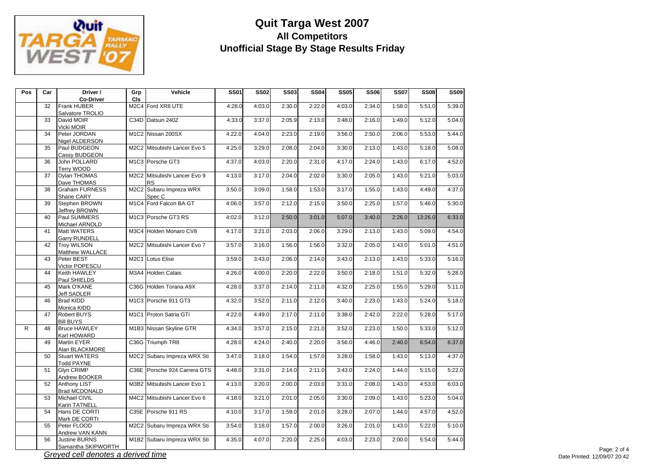

| Pos          | Car             | Driver /<br><b>Co-Driver</b>                | Grp<br>CIs | Vehicle                                   | <b>SS01</b> | <b>SS02</b> | <b>SS03</b> | <b>SS04</b> | <b>SS05</b> | <b>SS06</b> | <b>SS07</b> | <b>SS08</b> | <b>SS09</b> |
|--------------|-----------------|---------------------------------------------|------------|-------------------------------------------|-------------|-------------|-------------|-------------|-------------|-------------|-------------|-------------|-------------|
|              | 32              | Frank HUBER<br>Salvatore TROLIO             |            | M2C4 Ford XR8 UTE                         | 4:28.0      | 4:03.0      | 2:30.0      | 2:22.0      | 4:03.0      | 2:34.0      | 1:58.0      | 5:51.0      | 5:39.0      |
|              | 33              | David MOIR<br>Vicki MOIR                    |            | C34D Datsun 240Z                          | 4:33.0      | 3:37.0      | 2:05.9      | 2:13.0      | 3:48.0      | 2:16.0      | 1:49.0      | 5:12.0      | 5:04.0      |
|              | $\overline{34}$ | Peter JORDAN<br>Nigel ALDERSON              |            | M1C2 Nissan 200SX                         | 4:22.0      | 4:04.0      | 2:23.0      | 2:19.0      | 3:56.0      | 2:50.0      | 2:06.0      | 5:53.0      | 5:44.0      |
|              | 35              | Paul BUDGEON<br>Cassy BUDGEON               |            | M2C2 Mitsubishi Lancer Evo 5              | 4:25.0      | 3:29.0      | 2:08.0      | 2:04.0      | 3:30.0      | 2:13.0      | 1:43.0      | 5:18.0      | 5:08.0      |
|              | 36              | John POLLARD<br>Terry WOOD                  |            | M1C3 Porsche GT3                          | 4:37.0      | 4:03.0      | 2:20.0      | 2:31.0      | 4:17.0      | 2:24.0      | 1:43.0      | 6:17.0      | 4:52.0      |
|              | 37              | Dylan THOMAS<br>Dave THOMAS                 |            | M2C2 Mitsubishi Lancer Evo 9<br><b>RS</b> | 4:13.0      | 3:17.0      | 2:04.0      | 2:02.0      | 3:30.0      | 2:05.0      | 1:43.0      | 5:21.0      | 5:03.0      |
|              | 38              | <b>Graham FURNESS</b><br>Shane CARY         |            | M2C2 Subaru Impreza WRX<br>Spec C         | 3:50.0      | 3:09.0      | 1:58.0      | 1:53.0      | 3:17.0      | 1:55.0      | 1:43.0      | 4:49.0      | 4:37.0      |
|              | 39              | Stephen BROWN<br>Jeffrey BROWN              |            | M1C4 Ford Falcon BA GT                    | 4:06.0      | 3:57.0      | 2:12.0      | 2:15.0      | 3:50.0      | 2:25.0      | 1:57.0      | 5:46.0      | 5:30.0      |
|              | 40              | Paul SUMMERS<br>Michael ARNOLD              |            | M1C3 Porsche GT3 RS                       | 4:02.0      | 3:12.0      | 2:50.0      | 3:01.0      | 5:07.0      | 3:40.0      | 2:26.0      | 13:26.0     | 6:33.0      |
|              | 41              | <b>Matt WATERS</b><br><b>Garry RUNDELL</b>  |            | M3C4 Holden Monaro CV8                    | 4:17.0      | 3:21.0      | 2:03.0      | 2:06.0      | 3:29.0      | 2:13.0      | 1:43.0      | 5:09.0      | 4:54.0      |
|              | 42              | <b>Troy WILSON</b><br>Matthew WALLACE       |            | M2C2 Mitsubishi Lancer Evo 7              | 3:57.0      | 3:16.0      | 1:56.0      | 1:56.0      | 3:32.0      | 2:05.0      | 1:43.0      | 5:01.0      | 4:51.0      |
|              | 43              | Peter BEST<br>Victor POPESCU                |            | M2C1 Lotus Elise                          | 3:59.0      | 3:43.0      | 2:06.0      | 2:14.0      | 3:43.0      | 2:13.0      | 1:43.0      | 5:33.0      | 5:16.0      |
|              | 44              | Keith HAWLEY<br>Paul SHIELDS                |            | M3A4 Holden Calais                        | 4:26.0      | 4:00.0      | 2:20.0      | 2:22.0      | 3:50.0      | 2:18.0      | 1:51.0      | 5:32.0      | 5:28.0      |
|              | 45              | Mark O'KANE<br>Jeff SADLER                  |            | C36G Holden Torana A9X                    | 4:28.0      | 3:37.0      | 2:14.0      | 2:11.0      | 4:32.0      | 2:25.0      | 1:55.0      | 5:29.0      | 5:11.0      |
|              | 46              | <b>Brad KIDD</b><br>Monica KIDD             |            | M1C3 Porsche 911 GT3                      | 4:32.0      | 3:52.0      | 2:11.0      | 2:12.0      | 3:40.0      | 2:23.0      | 1:43.0      | 5:24.0      | 5:18.0      |
|              | 47              | <b>Robert BUYS</b><br><b>Bill BUYS</b>      |            | M1C1 Proton Satria GTi                    | 4:22.0      | 4:49.0      | 2:17.0      | 2:11.0      | 3:38.0      | 2:42.0      | 2:22.0      | 5:28.0      | 5:17.0      |
| $\mathsf{R}$ | 48              | <b>Bruce HAWLEY</b><br>Karl HOWARD          |            | M1B3 Nissan Skyline GTR                   | 4:34.0      | 3:57.0      | 2:15.0      | 2:21.0      | 3:52.0      | 2:23.0      | 1:50.0      | 5:33.0      | 5:12.0      |
|              | 49              | <b>Martin EYER</b><br>Alan BLACKMORE        |            | C36G Triumph TR8                          | 4:28.0      | 4:24.0      | 2:40.0      | 2:20.0      | 3:56.0      | 4:46.0      | 2:40.0      | 6:54.0      | 6:37.0      |
|              | 50              | <b>Stuart WATERS</b><br><b>Todd PAYNE</b>   |            | M2C2 Subaru Impreza WRX Sti               | 3:47.0      | 3:18.0      | 1:54.0      | 1:57.0      | 3:28.0      | 1:58.0      | 1:43.0      | 5:13.0      | 4:37.0      |
|              | 51              | Glyn CRIMP<br>Andrew BOOKER                 |            | C36E Porsche 924 Carrera GTS              | 4:48.0      | 3:31.0      | 2:14.0      | 2:11.0      | 3:43.0      | 2:24.0      | 1:44.0      | 5:15.0      | 5:22.0      |
|              | 52              | <b>Anthony LIST</b><br><b>Brad MCDONALD</b> |            | M3B2 Mitsubishi Lancer Evo 1              | 4:13.0      | 3:20.0      | 2:00.0      | 2:03.0      | 3:31.0      | 2:08.0      | 1:43.0      | 4:53.0      | 6:03.0      |
|              | 53              | Michael CIVIL<br>Karin TATNELL              |            | M4C2 Mitsubishi Lancer Evo 6              | 4:18.0      | 3:21.0      | 2:01.0      | 2:05.0      | 3:30.0      | 2:09.0      | 1:43.0      | 5:23.0      | 5:04.0      |
|              | 54              | Hans DE CORTI<br>Mark DE CORTI              |            | C35E Porsche 911 RS                       | 4:10.0      | 3:17.0      | 1:59.0      | 2:01.0      | 3:28.0      | 2:07.0      | 1:44.0      | 4:57.0      | 4:52.0      |
|              | 55              | Peter FLOOD<br>Andrew VAN KANN              |            | M2C2 Subaru Impreza WRX Sti               | 3:54.0      | 3:18.0      | 1:57.0      | 2:00.0      | 3:26.0      | 2:01.0      | 1:43.0      | 5:22.0      | 5:10.0      |
|              | 56              | <b>Justine BURNS</b><br>Samantha SKIPWORTH  |            | M1B2 Subaru Impreza WRX Sti               | 4:35.0      | 4:07.0      | 2:20.0      | 2:25.0      | 4:03.0      | 2:23.0      | 2:00.0      | 5:54.0      | 5:44.0      |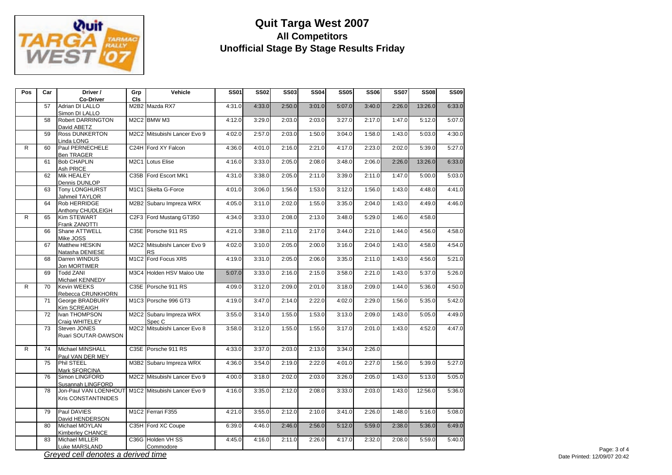

| Pos | Car | Driver /<br><b>Co-Driver</b>                              | Grp<br>CIS | Vehicle                                   | <b>SS01</b> | <b>SS02</b> | <b>SS03</b> | <b>SS04</b> | <b>SS05</b> | <b>SS06</b> | <b>SS07</b> | <b>SS08</b> | <b>SS09</b> |
|-----|-----|-----------------------------------------------------------|------------|-------------------------------------------|-------------|-------------|-------------|-------------|-------------|-------------|-------------|-------------|-------------|
|     | 57  | Adrian DI LALLO                                           |            | M2B2 Mazda RX7                            | 4:31.0      | 4:33.0      | 2:50.0      | 3:01.0      | 5:07.0      | 3:40.0      | 2:26.0      | 13:26.0     | 6:33.0      |
|     | 58  | Simon DI LALLO<br><b>Robert DARRINGTON</b><br>David ABETZ |            | M2C2 BMW M3                               | 4:12.0      | 3:29.0      | 2:03.0      | 2:03.0      | 3:27.0      | 2:17.0      | 1:47.0      | 5:12.0      | 5:07.0      |
|     | 59  | <b>Ross DUNKERTON</b><br>Linda LONG                       |            | M2C2 Mitsubishi Lancer Evo 9              | 4:02.0      | 2:57.0      | 2:03.0      | 1:50.0      | 3:04.0      | 1:58.0      | 1:43.0      | 5:03.0      | 4:30.0      |
| R   | 60  | Paul PERNECHELE<br><b>Ben TRAGER</b>                      |            | C24H Ford XY Falcon                       | 4:36.0      | 4:01.0      | 2:16.0      | 2:21.0      | 4:17.0      | 2:23.0      | 2:02.0      | 5:39.0      | 5:27.0      |
|     | 61  | <b>Bob CHAPLIN</b><br>Ash PRICE                           | M2C1       | <b>Lotus Elise</b>                        | 4:16.0      | 3:33.0      | 2:05.0      | 2:08.0      | 3:48.0      | 2:06.0      | 2:26.0      | 13:26.0     | 6:33.0      |
|     | 62  | <b>Mik HEALEY</b><br>Dennis DUNLOP                        | C35B       | Ford Escort MK1                           | 4:31.0      | 3:38.0      | 2:05.0      | 2:11.0      | 3:39.0      | 2:11.0      | 1:47.0      | 5:00.0      | 5:03.0      |
|     | 63  | <b>Tony LONGHURST</b><br>Jahmeil TAYLOR                   |            | M1C1 Skelta G-Force                       | 4:01.0      | 3:06.0      | 1:56.0      | 1:53.0      | 3:12.0      | 1:56.0      | 1:43.0      | 4:48.0      | 4:41.0      |
|     | 64  | Rob HERRIDGE<br>Anthony CHUDLEIGH                         |            | M2B2 Subaru Impreza WRX                   | 4:05.0      | 3:11.0      | 2:02.0      | 1:55.0      | 3:35.0      | 2:04.0      | 1:43.0      | 4:49.0      | 4:46.0      |
| R   | 65  | <b>Kim STEWART</b><br>Frank ZANOTTI                       |            | C2F3 Ford Mustang GT350                   | 4:34.0      | 3:33.0      | 2:08.0      | 2:13.0      | 3:48.0      | 5:29.0      | 1:46.0      | 4:58.0      |             |
|     | 66  | Shane ATTWELL<br>Mike JOSS                                |            | C35E Porsche 911 RS                       | 4:21.0      | 3:38.0      | 2:11.0      | 2:17.0      | 3:44.0      | 2:21.0      | 1:44.0      | 4:56.0      | 4:58.0      |
|     | 67  | Matthew HESKIN<br>Natasha DENIESE                         |            | M2C2 Mitsubishi Lancer Evo 9<br><b>RS</b> | 4:02.0      | 3:10.0      | 2:05.0      | 2:00.0      | 3:16.0      | 2:04.0      | 1:43.0      | 4:58.0      | 4:54.0      |
|     | 68  | Darren WINDUS<br>Jon MORTIMER                             |            | M1C2 Ford Focus XR5                       | 4:19.0      | 3:31.0      | 2:05.0      | 2:06.0      | 3:35.0      | 2:11.0      | 1:43.0      | 4:56.0      | 5:21.0      |
|     | 69  | <b>Todd ZANI</b><br>Michael KENNEDY                       |            | M3C4 Holden HSV Maloo Ute                 | 5:07.0      | 3:33.0      | 2:16.0      | 2:15.0      | 3:58.0      | 2:21.0      | 1:43.0      | 5:37.0      | 5:26.0      |
| R.  | 70  | <b>Kevin WEEKS</b><br>Rebecca CRUNKHORN                   |            | C35E Porsche 911 RS                       | 4:09.0      | 3:12.0      | 2:09.0      | 2:01.0      | 3:18.0      | 2:09.0      | 1:44.0      | 5:36.0      | 4:50.0      |
|     | 71  | George BRADBURY<br>Kim SCREAIGH                           |            | M1C3 Porsche 996 GT3                      | 4:19.0      | 3:47.0      | 2:14.0      | 2:22.0      | 4:02.0      | 2:29.0      | 1:56.0      | 5:35.0      | 5:42.0      |
|     | 72  | Ivan THOMPSON<br>Craia WHITELEY                           |            | M2C2 Subaru Impreza WRX<br>Spec C         | 3:55.0      | 3:14.0      | 1:55.0      | 1:53.0      | 3:13.0      | 2:09.0      | 1:43.0      | 5:05.0      | 4:49.0      |
|     | 73  | Steven JONES<br>Ruari SOUTAR-DAWSON                       |            | M2C2 Mitsubishi Lancer Evo 8              | 3:58.0      | 3:12.0      | 1:55.0      | 1:55.0      | 3:17.0      | 2:01.0      | 1:43.0      | 4:52.0      | 4:47.0      |
| R   | 74  | Michael MINSHALL<br>Paul VAN DER MEY                      |            | C35E Porsche 911 RS                       | 4:33.0      | 3:37.0      | 2:03.0      | 2:13.0      | 3:34.0      | 2:26.0      |             |             |             |
|     | 75  | Phil STEEL<br>Mark SFORCINA                               |            | M3B2 Subaru Impreza WRX                   | 4:36.0      | 3:54.0      | 2:19.0      | 2:22.0      | 4:01.0      | 2:27.0      | 1:56.0      | 5:39.0      | 5:27.0      |
|     | 76  | Simon LINGFORD<br>Susannah LINGFORD                       |            | M2C2 Mitsubishi Lancer Evo 9              | 4:00.0      | 3:18.0      | 2:02.0      | 2:03.0      | 3:26.0      | 2:05.0      | 1:43.0      | 5:13.0      | 5:05.0      |
|     | 78  | Jon-Paul VAN LOENHOUT<br><b>Kris CONSTANTINIDES</b>       |            | M1C2 Mitsubishi Lancer Evo 9              | 4:16.0      | 3:35.0      | 2:12.0      | 2:08.0      | 3:33.0      | 2:03.0      | 1:43.0      | 12:56.0     | 5:36.0      |
|     | 79  | Paul DAVIES<br>David HENDERSON                            |            | M1C2 Ferrari F355                         | 4:21.0      | 3:55.0      | 2:12.0      | 2:10.0      | 3:41.0      | 2:26.0      | 1:48.0      | 5:16.0      | 5:08.0      |
|     | 80  | Michael MOYLAN<br>Kimberley CHANCE                        |            | C35H Ford XC Coupe                        | 6:39.0      | 4:46.0      | 2:46.0      | 2:56.0      | 5:12.0      | 5:59.0      | 2:38.0      | 5:36.0      | 6:49.0      |
|     | 83  | Michael MILLER<br>Luke MARSLAND                           |            | C36G Holden VH SS<br>Commodore            | 4:45.0      | 4:16.0      | 2:11.0      | 2:26.0      | 4:17.0      | 2:32.0      | 2:08.0      | 5:59.0      | 5:40.0      |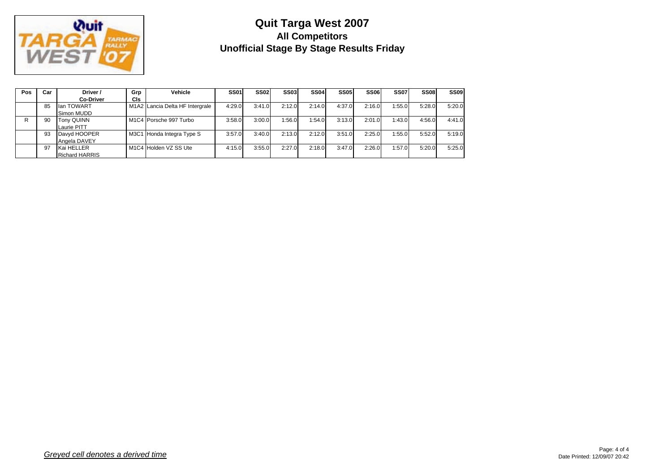

| Pos | Car | Driver /              | Grp | Vehicle                         | <b>SS01</b> | SS <sub>02</sub> | <b>SS03</b> | SS <sub>04</sub> | <b>SS05</b> | <b>SS06</b> | <b>SS07</b> | <b>SS08</b> | <b>SS09</b> |
|-----|-----|-----------------------|-----|---------------------------------|-------------|------------------|-------------|------------------|-------------|-------------|-------------|-------------|-------------|
|     |     | <b>Co-Driver</b>      | CIs |                                 |             |                  |             |                  |             |             |             |             |             |
|     | 85  | llan TOWART           |     | M1A2 Lancia Delta HF Intergrale | 4:29.0      | 3:41.0           | 2:12.0      | 2:14.0           | 4:37.0      | 2:16.0      | 1:55.0      | 5:28.0      | 5:20.0      |
|     |     | Simon MUDD            |     |                                 |             |                  |             |                  |             |             |             |             |             |
|     | 90  | <b>Tony QUINN</b>     |     | M1C4 Porsche 997 Turbo          | 3:58.0      | 3:00.0           | 1:56.0      | 1:54.0           | 3:13.0      | 2:01.0      | 1:43.0      | 4:56.0      | 4:41.0      |
|     |     | Laurie PITT           |     |                                 |             |                  |             |                  |             |             |             |             |             |
|     | 93  | Davyd HOOPER          |     | M3C1 Honda Integra Type S       | 3:57.0      | 3:40.0           | 2:13.0      | 2:12.0           | 3:51.0      | 2:25.0      | 1:55.0      | 5:52.0      | 5:19.0      |
|     |     | Angela DAVEY          |     |                                 |             |                  |             |                  |             |             |             |             |             |
|     | 97  | Kai HELLER            |     | M1C4 Holden VZ SS Ute           | 4:15.0      | 3:55.0           | 2:27.0      | 2:18.0           | 3:47.0      | 2:26.0      | 1:57.0      | 5:20.0      | 5:25.0      |
|     |     | <b>Richard HARRIS</b> |     |                                 |             |                  |             |                  |             |             |             |             |             |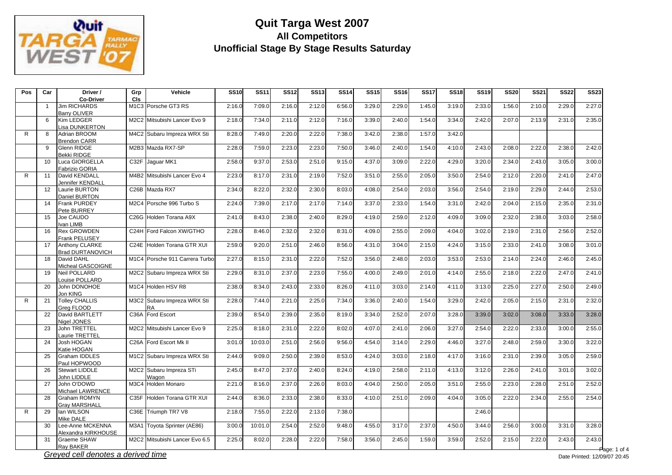

| Pos | Car      | Driver /<br><b>Co-Driver</b>                    | Grp<br><b>CIs</b>                     | Vehicle                                  | <b>SS10</b>      | <b>SS11</b>      | <b>SS12</b>      | <b>SS13</b>      | <b>SS14</b>      | <b>SS15</b>      | <b>SS16</b>      | <b>SS17</b>      | <b>SS18</b>      | <b>SS19</b>      | <b>SS20</b>      | <b>SS21</b>      | <b>SS22</b>      | <b>SS23</b>      |
|-----|----------|-------------------------------------------------|---------------------------------------|------------------------------------------|------------------|------------------|------------------|------------------|------------------|------------------|------------------|------------------|------------------|------------------|------------------|------------------|------------------|------------------|
|     |          | <b>Jim RICHARDS</b><br><b>Barry OLIVER</b>      |                                       | M1C3 Porsche GT3 RS                      | 2:16.0           | 7:09.0           | 2:16.0           | 2:12.0           | 6:56.0           | 3:29.0           | 2:29.0           | 1:45.0           | 3:19.0           | 2:33.0           | 1:56.0           | 2:10.0           | 2:29.0           | 2:27.0           |
|     | 6        | <b>Kim LEDGER</b><br>Lisa DUNKERTON             | M2C2                                  | Mitsubishi Lancer Evo 9                  | 2:18.0           | 7:34.0           | 2:11.0           | 2:12.0           | 7:16.0           | 3:39.0           | 2:40.0           | 1:54.0           | 3:34.0           | 2:42.0           | 2:07.0           | 2:13.9           | 2:31.0           | 2:35.0           |
| R   | 8        | Adrian BROOM<br><b>Brendon CARR</b>             | M4C2                                  | Subaru Impreza WRX Sti                   | 8:28.0           | 7:49.0           | 2:20.0           | 2:22.0           | 7:38.0           | 3:42.0           | 2:38.0           | 1:57.0           | 3:42.0           |                  |                  |                  |                  |                  |
|     | 9        | Glenn RIDGE<br><b>Bekki RIDGE</b>               |                                       | M2B3 Mazda RX7-SP                        | 2:28.0           | 7:59.0           | 2:23.0           | 2:23.0           | 7:50.0           | 3:46.0           | 2:40.0           | 1:54.0           | 4:10.0           | 2:43.0           | 2:08.0           | 2:22.0           | 2:38.0           | 2:42.0           |
|     | 10       | Luca GIORGELLA<br>Fabrizio GORIA                |                                       | C32F Jaquar MK1                          | 2:58.0           | 9:37.0           | 2:53.0           | 2:51.0           | 9:15.0           | 4:37.0           | 3:09.0           | 2:22.0           | 4:29.0           | 3:20.0           | 2:34.0           | 2:43.0           | 3:05.0           | 3:00.0           |
| R   | 11       | David KENDALL<br>Jennifer KENDALI               |                                       | M4B2 Mitsubishi Lancer Evo 4             | 2:23.0           | 8:17.0           | 2:31.0           | 2:19.0           | 7:52.0           | 3:51.0           | 2:55.0           | 2:05.0           | 3:50.0           | 2:54.0           | 2:12.0           | 2:20.0           | 2:41.0           | 2:47.0           |
|     | 12       | Laurie BURTON<br>Daniel BURTON                  | C26B                                  | Mazda RX7                                | 2:34.0           | 8:22.0           | 2:32.0           | 2:30.0           | 8:03.0           | 4:08.0           | 2:54.0           | 2:03.0           | 3:56.0           | 2:54.0           | 2:19.0           | 2:29.0           | 2:44.0           | 2:53.0           |
|     | 14<br>15 | <b>Frank PURDEY</b><br>Pete BURREY<br>Joe CAUDO | M <sub>2</sub> C <sub>4</sub><br>C26G | Porsche 996 Turbo S<br>Holden Torana A9X | 2:24.0<br>2:41.0 | 7:39.0<br>8:43.0 | 2:17.0<br>2:38.0 | 2:17.0<br>2:40.0 | 7:14.0<br>8:29.0 | 3:37.0<br>4:19.0 | 2:33.0<br>2:59.0 | 1:54.0<br>2:12.0 | 3:31.0<br>4:09.0 | 2:42.0<br>3:09.0 | 2:04.0<br>2:32.0 | 2:15.0<br>2:38.0 | 2:35.0<br>3:03.0 | 2:31.0<br>2:58.0 |
|     | 16       | Ivan LIMB<br><b>Rex GROWDEN</b>                 | C <sub>24</sub> H                     | Ford Falcon XW/GTHO                      | 2:28.0           | 8:46.0           | 2:32.0           | 2:32.0           | 8:31.0           | 4:09.0           | 2:55.0           | 2:09.0           | 4:04.0           | 3:02.0           | 2:19.0           | 2:31.0           | 2:56.0           | 2:52.0           |
|     | 17       | <b>Frank PELUSEY</b><br><b>Anthony CLARKE</b>   | C24E                                  | Holden Torana GTR XUI                    | 2:59.0           | 9:20.0           | 2:51.0           | 2:46.0           | 8:56.0           | 4:31.0           | 3:04.0           | 2:15.0           | 4:24.0           | 3:15.0           | 2:33.0           | 2:41.0           | 3:08.0           | 3:01.0           |
|     | 18       | <b>Brad DURTANOVICH</b><br>David DAHL           |                                       | M1C4 Porsche 911 Carrera Turbo           | 2:27.0           | 8:15.0           | 2:31.0           | 2:22.0           | 7:52.0           | 3:56.0           | 2:48.0           | 2:03.0           | 3:53.0           | 2:53.0           | 2:14.0           | 2:24.0           | 2:46.0           | 2:45.0           |
|     | 19       | Micheal GASCOIGNE<br>Neil POLLARD               |                                       | M2C2 Subaru Impreza WRX Sti              | 2:29.0           | 8:31.0           | 2:37.0           | 2:23.0           | 7:55.0           | 4:00.0           | 2:49.0           | 2:01.0           | 4:14.0           | 2:55.0           | 2:18.0           | 2:22.0           | 2:47.0           | 2:41.0           |
|     | 20       | Louise POLLARD<br>John DONOHOE                  | M <sub>1</sub> C <sub>4</sub>         | Holden HSV R8                            | 2:38.0           | 8:34.0           | 2:43.0           | 2:33.0           | 8:26.0           | 4:11.0           | 3:03.0           | 2:14.0           | 4:11.0           | 3:13.0           | 2:25.0           | 2:27.0           | 2:50.0           | 2:49.0           |
| R.  | 21       | Jon KING<br><b>Tolley CHALLIS</b>               | M3C2                                  | Subaru Impreza WRX Sti                   | 2:28.0           | 7:44.0           | 2:21.0           | 2:25.0           | 7:34.0           | 3:36.0           | 2:40.0           | 1:54.0           | 3:29.0           | 2:42.0           | 2:05.0           | 2:15.0           | 2:31.0           | 2:32.0           |
|     | 22       | Grea FLOOD<br>David BARTLETT                    | C36A                                  | RA<br>Ford Escort                        | 2:39.0           | 8:54.0           | 2:39.0           | 2:35.0           | 8:19.0           | 3:34.0           | 2:52.0           | 2:07.0           | 3:28.0           | 3:39.0           | 3:02.0           | 3:08.0           | 3:33.0           | 3:28.0           |
|     | 23       | Nigel JONES<br><b>John TRETTEL</b>              | <b>M2C2</b>                           | Mitsubishi Lancer Evo 9                  | 2:25.0           | 8:18.0           | 2:31.0           | 2:22.0           | 8:02.0           | 4:07.0           | 2:41.0           | 2:06.0           | 3:27.0           | 2:54.0           | 2:22.0           | 2:33.0           | 3:00.0           | 2:55.0           |
|     | 24       | aurie TRETTEL<br>Josh HOGAN<br>Katie HOGAN      | C26A                                  | Ford Escort Mk II                        | 3:01.0           | 10:03.0          | 2:51.0           | 2:56.0           | 9:56.0           | 4:54.0           | 3:14.0           | 2:29.0           | 4:46.0           | 3:27.0           | 2:48.0           | 2:59.0           | 3:30.0           | 3:22.0           |
|     | 25       | <b>Graham IDDLES</b><br>Paul HOPWOOD            |                                       | M1C2 Subaru Impreza WRX Sti              | 2:44.0           | 9:09.0           | 2:50.0           | 2:39.0           | 8:53.0           | 4:24.0           | 3:03.0           | 2:18.0           | 4:17.0           | 3:16.0           | 2:31.0           | 2:39.0           | 3:05.0           | 2:59.0           |
|     | 26       | <b>Stewart LIDDLE</b><br>John LIDDLE            | M <sub>2</sub> C <sub>2</sub>         | Subaru Impreza STi<br>Wagon              | 2:45.0           | 8:47.0           | 2:37.0           | 2:40.0           | 8:24.0           | 4:19.0           | 2:58.0           | 2:11.0           | 4:13.0           | 3:12.0           | 2:26.0           | 2:41.0           | 3:01.0           | 3:02.0           |
|     | 27       | John O'DOWD<br>Michael LAWRENCE                 | M3C4                                  | <b>Holden Monaro</b>                     | 2:21.0           | 8:16.0           | 2:37.0           | 2:26.0           | 8:03.0           | 4:04.0           | 2:50.0           | 2:05.0           | 3:51.0           | 2:55.0           | 2:23.0           | 2:28.0           | 2:51.0           | 2:52.0           |
|     | 28       | Graham ROMYN<br><b>Grav MARSHALL</b>            | C <sub>35</sub> F                     | Holden Torana GTR XUI                    | 2:44.0           | 8:36.0           | 2:33.0           | 2:38.0           | 8:33.0           | 4:10.0           | 2:51.0           | 2:09.0           | 4:04.0           | 3:05.0           | 2:22.0           | 2:34.0           | 2:55.0           | 2:54.0           |
| R   | 29       | lan WILSON<br>Mike DALE                         | C36E                                  | Triumph TR7 V8                           | 2:18.0           | 7:55.0           | 2:22.0           | 2:13.0           | 7:38.0           |                  |                  |                  |                  | 2:46.0           |                  |                  |                  |                  |
|     | 30       | Lee-Anne MCKENNA<br>Alexandra KIRKHOUSE         | <b>M3A1</b>                           | Toyota Sprinter (AE86)                   | 3:00.0           | 10:01.0          | 2:54.0           | 2:52.0           | 9:48.0           | 4:55.0           | 3:17.0           | 2:37.0           | 4:50.0           | 3:44.0           | 2:56.0           | 3:00.0           | 3:31.0           | 3:28.0           |
|     | 31       | <b>Graeme SHAW</b><br>Ray BAKER                 | M2C2                                  | Mitsubishi Lancer Evo 6.5                | 2:25.0           | 8:02.0           | 2:28.0           | 2:22.0           | 7:58.0           | 3:56.0           | 2:45.0           | 1:59.0           | 3:59.0           | 2:52.0           | 2:15.0           | 2:22.0           | 2:43.0           | 2:43.0           |

*Greyed cell denotes a derived time*

age: 1 of 4 Date Printed: 12/09/07 20:45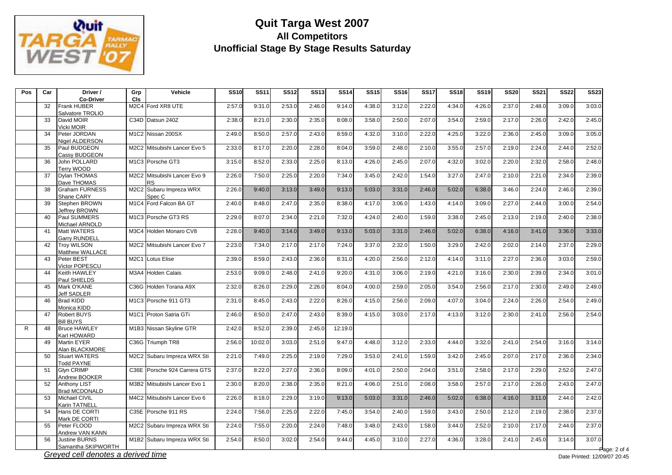

| Pos          | Car      | Driver /<br><b>Co-Driver</b>                        | Grp<br><b>CIs</b>                                              | Vehicle                                               | <b>SS10</b>      | <b>SS11</b>      | <b>SS12</b>      | <b>SS13</b>      | <b>SS14</b>      | <b>SS15</b>      | <b>SS16</b>      | <b>SS17</b>      | <b>SS18</b>      | <b>SS19</b>      | <b>SS20</b>      | <b>SS21</b>      | <b>SS22</b>      | <b>SS23</b>      |
|--------------|----------|-----------------------------------------------------|----------------------------------------------------------------|-------------------------------------------------------|------------------|------------------|------------------|------------------|------------------|------------------|------------------|------------------|------------------|------------------|------------------|------------------|------------------|------------------|
|              | 32       | <b>Frank HUBER</b><br>Salvatore TROLIO              | M <sub>2</sub> C <sub>4</sub>                                  | Ford XR8 UTE                                          | 2:57.0           | 9:31.0           | 2:53.0           | 2:46.0           | 9:14.0           | 4:38.0           | 3:12.0           | 2:22.0           | 4:34.0           | 4:26.0           | 2:37.0           | 2:48.0           | 3:09.0           | 3:03.0           |
|              | 33       | David MOIR<br>/icki MOIR                            | C34D                                                           | Datsun 240Z                                           | 2:38.0           | 8:21.0           | 2:30.0           | 2:35.0           | 8:08.0           | 3:58.0           | 2:50.0           | 2:07.0           | 3:54.0           | 2:59.0           | 2:17.0           | 2:26.0           | 2:42.0           | 2:45.0           |
|              | 34       | Peter JORDAN<br>Nigel ALDERSON                      |                                                                | M1C2 Nissan 200SX                                     | 2:49.0           | 8:50.0           | 2:57.0           | 2:43.0           | 8:59.0           | 4:32.0           | 3:10.0           | 2:22.0           | 4:25.0           | 3:22.0           | 2:36.0           | 2:45.0           | 3:09.0           | 3:05.0           |
|              | 35       | Paul BUDGEON<br><b>Cassy BUDGEON</b>                |                                                                | M2C2 Mitsubishi Lancer Evo 5                          | 2:33.0           | 8:17.0           | 2:20.0           | 2:28.0           | 8:04.0           | 3:59.0           | 2:48.0           | 2:10.0           | 3:55.0           | 2:57.0           | 2:19.0           | 2:24.0           | 2:44.0           | 2:52.0           |
|              | 36       | John POLLARD<br>Terry WOOD                          |                                                                | M <sub>1</sub> C <sub>3</sub> Porsche GT <sub>3</sub> | 3:15.0           | 8:52.0           | 2:33.0           | 2:25.0           | 8:13.0           | 4:26.0           | 2:45.0           | 2:07.0           | 4:32.0           | 3:02.0           | 2:20.0           | 2:32.0           | 2:58.0           | 2:48.0           |
|              | 37       | <b>Dylan THOMAS</b><br>Dave THOMAS                  |                                                                | M2C2 Mitsubishi Lancer Evo 9<br><b>RS</b>             | 2:26.0           | 7:50.0           | 2:25.0           | 2:20.0           | 7:34.0           | 3:45.0           | 2:42.0           | 1:54.0           | 3:27.0           | 2:47.0           | 2:10.0           | 2:21.0           | 2:34.0           | 2:39.0           |
|              | 38       | <b>Graham FURNESS</b><br>Shane CARY                 | M2C2                                                           | Subaru Impreza WRX<br>Spec C                          | 2:26.0           | 9:40.0           | 3:13.0           | 3:49.0           | 9:13.0           | 5:03.0           | 3:31.0           | 2:46.0           | 5:02.0           | 6:38.0           | 3:46.0           | 2:24.0           | 2:46.0           | 2:39.0           |
|              | 39<br>40 | Stephen BROWN<br>leffrev BROWN<br>Paul SUMMERS      | M <sub>1</sub> C <sub>4</sub><br>M <sub>1</sub> C <sub>3</sub> | Ford Falcon BA GT<br>Porsche GT3 RS                   | 2:40.0<br>2:29.0 | 8:48.0<br>8:07.0 | 2:47.0<br>2:34.0 | 2:35.0<br>2:21.0 | 8:38.0<br>7:32.0 | 4:17.0<br>4:24.0 | 3:06.0<br>2:40.0 | 1:43.0<br>1:59.0 | 4:14.0<br>3:38.0 | 3:09.0<br>2:45.0 | 2:27.0<br>2:13.0 | 2:44.0<br>2:19.0 | 3:00.0<br>2:40.0 | 2:54.0<br>2:38.0 |
|              | 41       | Michael ARNOLD<br><b>Matt WATERS</b>                | M3C4                                                           | Holden Monaro CV8                                     | 2:28.0           | 9:40.0           | 3:14.0           | 3:49.0           | 9:13.0           | 5:03.0           | 3:31.0           | 2:46.0           | 5:02.0           | 6:38.0           | 4:16.0           | 3:41.0           | 3:36.0           | 3:33.0           |
|              | 42       | <b>Garry RUNDELL</b><br><b>Troy WILSON</b>          |                                                                | M2C2 Mitsubishi Lancer Evo 7                          | 2:23.0           | 7:34.0           | 2:17.0           | 2:17.0           | 7:24.0           | 3:37.0           | 2:32.0           | 1:50.0           | 3:29.0           | 2:42.0           | 2:02.0           | 2:14.0           | 2:37.0           | 2:29.0           |
|              | 43       | Matthew WALLACE<br>Peter BEST                       |                                                                | M2C1 Lotus Elise                                      | 2:39.0           | 8:59.0           | 2:43.0           | 2:36.0           | 8:31.0           | 4:20.0           | 2:56.0           | 2:12.0           | 4:14.0           | 3:11.0           | 2:27.0           | 2:36.0           | 3:03.0           | 2:59.0           |
|              | 44       | Victor POPESCU<br>Keith HAWLEY                      | M3A4                                                           | <b>Holden Calais</b>                                  | 2:53.0           | 9:09.0           | 2:48.0           | 2:41.0           | 9:20.0           | 4:31.0           | 3:06.0           | 2:19.0           | 4:21.0           | 3:16.0           | 2:30.0           | 2:39.0           | 2:34.0           | 3:01.0           |
|              | 45       | Paul SHIELDS<br>Mark O'KANE                         | C36G                                                           | Holden Torana A9X                                     | 2:32.0           | 8:26.0           | 2:29.0           | 2:26.0           | 8:04.0           | 4:00.0           | 2:59.0           | 2:05.0           | 3:54.0           | 2:56.0           | 2:17.0           | 2:30.0           | 2:49.0           | 2:49.0           |
|              | 46       | Jeff SADLER<br><b>Brad KIDD</b>                     | M <sub>1</sub> C <sub>3</sub>                                  | Porsche 911 GT3                                       | 2:31.0           | 8:45.0           | 2:43.0           | 2:22.0           | 8:26.0           | 4:15.0           | 2:56.0           | 2:09.0           | 4:07.0           | 3:04.0           | 2:24.0           | 2:26.0           | 2:54.0           | 2:49.0           |
|              | 47       | Monica KIDD<br>Robert BUYS                          | <b>M1C1</b>                                                    | Proton Satria GTi                                     | 2:46.0           | 8:50.0           | 2:47.0           | 2:43.0           | 8:39.0           | 4:15.0           | 3:03.0           | 2:17.0           | 4:13.0           | 3:12.0           | 2:30.0           | 2:41.0           | 2:56.0           | 2:54.0           |
| $\mathsf{R}$ | 48       | <b>Bill BUYS</b><br><b>Bruce HAWLEY</b>             |                                                                | M1B3 Nissan Skyline GTR                               | 2:42.0           | 8:52.0           | 2:39.0           | 2:45.0           | 12:19.0          |                  |                  |                  |                  |                  |                  |                  |                  |                  |
|              | 49       | Karl HOWARD<br><b>Martin EYER</b><br>Alan BLACKMORE |                                                                | C36G Triumph TR8                                      | 2:56.0           | 10:02.0          | 3:03.0           | 2:51.0           | 9:47.0           | 4:48.0           | 3:12.0           | 2:33.0           | 4:44.0           | 3:32.0           | 2:41.0           | 2:54.0           | 3:16.0           | 3:14.0           |
|              | 50       | <b>Stuart WATERS</b><br><b>Todd PAYNE</b>           | M2C2                                                           | Subaru Impreza WRX Sti                                | 2:21.0           | 7:49.0           | 2:25.0           | 2:19.0           | 7:29.0           | 3:53.0           | 2:41.0           | 1:59.0           | 3:42.0           | 2:45.0           | 2:07.0           | 2:17.0           | 2:36.0           | 2:34.0           |
|              | 51       | <b>Glyn CRIMP</b><br>Andrew BOOKER                  | C36E                                                           | Porsche 924 Carrera GTS                               | 2:37.0           | 8:22.0           | 2:27.0           | 2:36.0           | 8:09.0           | 4:01.0           | 2:50.0           | 2:04.0           | 3:51.0           | 2:58.0           | 2:17.0           | 2:29.0           | 2:52.0           | 2:47.0           |
|              | 52       | <b>Anthony LIST</b><br><b>Brad MCDONALD</b>         |                                                                | M3B2 Mitsubishi Lancer Evo 1                          | 2:30.0           | 8:20.0           | 2:38.0           | 2:35.0           | 8:21.0           | 4:06.0           | 2:51.0           | 2:08.0           | 3:58.0           | 2:57.0           | 2:17.0           | 2:26.0           | 2:43.0           | 2:47.0           |
|              | 53       | Michael CIVIL<br><b>Karin TATNELL</b>               | M4C2                                                           | Mitsubishi Lancer Evo 6                               | 2:26.0           | 8:18.0           | 2:29.0           | 3:19.0           | 9:13.0           | 5:03.0           | 3:31.0           | 2:46.0           | 5:02.0           | 6:38.0           | 4:16.0           | 3:11.0           | 2:44.0           | 2:42.0           |
|              | 54       | Hans DE CORTI<br>Mark DE CORTI                      | C35E                                                           | Porsche 911 RS                                        | 2:24.0           | 7:56.0           | 2:25.0           | 2:22.0           | 7:45.0           | 3:54.0           | 2:40.0           | 1:59.0           | 3:43.0           | 2:50.0           | 2:12.0           | 2:19.0           | 2:38.0           | 2:37.0           |
|              | 55       | Peter FLOOD<br>Andrew VAN KANN                      | M2C2                                                           | Subaru Impreza WRX Sti                                | 2:24.0           | 7:55.0           | 2:20.0           | 2:24.0           | 7:48.0           | 3:48.0           | 2:43.0           | 1:58.0           | 3:44.0           | 2:52.0           | 2:10.0           | 2:17.0           | 2:44.0           | 2:37.0           |
|              | 56       | <b>Justine BURNS</b><br>Samantha SKIPWORTH          | M1B2                                                           | Subaru Impreza WRX Sti                                | 2:54.0           | 8:50.0           | 3:02.0           | 2:54.0           | 9:44.0           | 4:45.0           | 3:10.0           | 2:27.0           | 4:36.0           | 3:28.0           | 2:41.0           | 2:45.0           | 3:14.0           | 3:07.0           |

*Greyed cell denotes a derived time*

age:  $2$  of  $4$ Date Printed: 12/09/07 20:45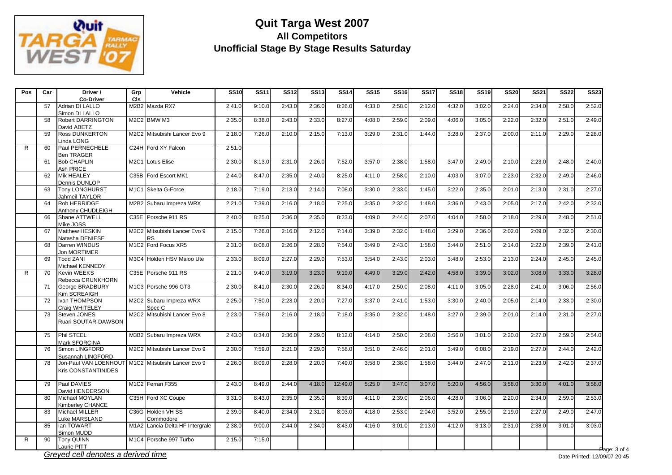

| Pos | Car | Driver /<br><b>Co-Driver</b>                        | Grp<br>CIs                    | Vehicle                                                | <b>SS10</b> | <b>SS11</b> | <b>SS12</b> | <b>SS13</b> | <b>SS14</b> | <b>SS15</b> | <b>SS16</b> | <b>SS17</b> | <b>SS18</b> | <b>SS19</b> | <b>SS20</b> | <b>SS21</b> | <b>SS22</b> | <b>SS23</b> |
|-----|-----|-----------------------------------------------------|-------------------------------|--------------------------------------------------------|-------------|-------------|-------------|-------------|-------------|-------------|-------------|-------------|-------------|-------------|-------------|-------------|-------------|-------------|
|     | 57  | Adrian DI LALLO<br>Simon DI LALLO                   | M2B2                          | Mazda RX7                                              | 2:41.0      | 9:10.0      | 2:43.0      | 2:36.0      | 8:26.0      | 4:33.0      | 2:58.0      | 2:12.0      | 4:32.0      | 3:02.0      | 2:24.0      | 2:34.0      | 2:58.0      | 2:52.0      |
|     | 58  | <b>Robert DARRINGTON</b><br>David ABETZ             | <b>M2C2</b>                   | <b>BMW M3</b>                                          | 2:35.0      | 8:38.0      | 2:43.0      | 2:33.0      | 8:27.0      | 4:08.0      | 2:59.0      | 2:09.0      | 4:06.0      | 3:05.0      | 2:22.0      | 2:32.0      | 2:51.0      | 2:49.0      |
|     | 59  | <b>Ross DUNKERTON</b><br>Linda LONG                 | M2C2                          | Mitsubishi Lancer Evo 9                                | 2:18.0      | 7:26.0      | 2:10.0      | 2:15.0      | 7:13.0      | 3:29.0      | 2:31.0      | 1:44.0      | 3:28.0      | 2:37.0      | 2:00.0      | 2:11.0      | 2:29.0      | 2:28.0      |
| R   | 60  | Paul PERNECHELE<br><b>Ben TRAGER</b>                |                               | C24H Ford XY Falcon                                    | 2:51.0      |             |             |             |             |             |             |             |             |             |             |             |             |             |
|     | 61  | <b>Bob CHAPLIN</b><br>Ash PRICE                     | <b>M2C1</b>                   | Lotus Elise                                            | 2:30.0      | 8:13.0      | 2:31.0      | 2:26.0      | 7:52.0      | 3:57.0      | 2:38.0      | 1:58.0      | 3:47.0      | 2:49.0      | 2:10.0      | 2:23.0      | 2:48.0      | 2:40.0      |
|     | 62  | <b>Mik HEALEY</b><br>Dennis DUNLOP                  | C35B                          | Ford Escort MK1                                        | 2:44.0      | 8:47.0      | 2:35.0      | 2:40.0      | 8:25.0      | 4:11.0      | 2:58.0      | 2:10.0      | 4:03.0      | 3:07.0      | 2:23.0      | 2:32.0      | 2:49.0      | 2:46.0      |
|     | 63  | <b>Tony LONGHURST</b><br>Jahmeil TAYLOR             |                               | M1C1 Skelta G-Force                                    | 2:18.0      | 7:19.0      | 2:13.0      | 2:14.0      | 7:08.0      | 3:30.0      | 2:33.0      | 1:45.0      | 3:22.0      | 2:35.0      | 2:01.0      | 2:13.0      | 2:31.0      | 2:27.0      |
|     | 64  | Rob HERRIDGE<br>Anthony CHUDLEIGH                   | M2B2                          | Subaru Impreza WRX                                     | 2:21.0      | 7:39.0      | 2:16.0      | 2:18.0      | 7:25.0      | 3:35.0      | 2:32.0      | 1:48.0      | 3:36.0      | 2:43.0      | 2:05.0      | 2:17.0      | 2:42.0      | 2:32.0      |
|     | 66  | <b>Shane ATTWELL</b><br>Mike JOSS                   | C35E                          | Porsche 911 RS                                         | 2:40.0      | 8:25.0      | 2:36.0      | 2:35.0      | 8:23.0      | 4:09.0      | 2:44.0      | 2:07.0      | 4:04.0      | 2:58.0      | 2:18.0      | 2:29.0      | 2:48.0      | 2:51.0      |
|     | 67  | Matthew HESKIN<br>Natasha DENIESE                   | M2C2                          | Mitsubishi Lancer Evo 9<br><b>RS</b>                   | 2:15.0      | 7:26.0      | 2:16.0      | 2:12.0      | 7:14.0      | 3:39.0      | 2:32.0      | 1:48.0      | 3:29.0      | 2:36.0      | 2:02.0      | 2:09.0      | 2:32.0      | 2:30.0      |
|     | 68  | Darren WINDUS<br>Jon MORTIMER                       |                               | M1C2 Ford Focus XR5                                    | 2:31.0      | 8:08.0      | 2:26.0      | 2:28.0      | 7:54.0      | 3:49.0      | 2:43.0      | 1:58.0      | 3:44.0      | 2:51.0      | 2:14.0      | 2:22.0      | 2:39.0      | 2:41.0      |
|     | 69  | <b>Todd ZANI</b><br>Michael KENNEDY                 | M3C4                          | Holden HSV Maloo Ute                                   | 2:33.0      | 8:09.0      | 2:27.0      | 2:29.0      | 7:53.0      | 3:54.0      | 2:43.0      | 2:03.0      | 3:48.0      | 2:53.0      | 2:13.0      | 2:24.0      | 2:45.0      | 2:45.0      |
| R   | 70  | <b>Kevin WEEKS</b><br>Rebecca CRUNKHORN             |                               | C35E Porsche 911 RS                                    | 2:21.0      | 9:40.0      | 3:19.0      | 3:23.0      | 9:19.0      | 4:49.0      | 3:29.0      | 2:42.0      | 4:58.0      | 3:39.0      | 3:02.0      | 3:08.0      | 3:33.0      | 3:28.0      |
|     | 71  | George BRADBURY<br>Kim SCREAIGH                     |                               | M1C3 Porsche 996 GT3                                   | 2:30.0      | 8:41.0      | 2:30.0      | 2:26.0      | 8:34.0      | 4:17.0      | 2:50.0      | 2:08.0      | 4:11.0      | 3:05.0      | 2:28.0      | 2:41.0      | 3:06.0      | 2:56.0      |
|     | 72  | Ivan THOMPSON<br>Craig WHITELEY                     | M2C2                          | Subaru Impreza WRX<br>Spec C                           | 2:25.0      | 7:50.0      | 2:23.0      | 2:20.0      | 7:27.0      | 3:37.0      | 2:41.0      | 1:53.0      | 3:30.0      | 2:40.0      | 2:05.0      | 2:14.0      | 2:33.0      | 2:30.0      |
|     | 73  | <b>Steven JONES</b><br>Ruari SOUTAR-DAWSON          | M2C2                          | Mitsubishi Lancer Evo 8                                | 2:23.0      | 7:56.0      | 2:16.0      | 2:18.0      | 7:18.0      | 3:35.0      | 2:32.0      | 1:48.0      | 3:27.0      | 2:39.0      | 2:01.0      | 2:14.0      | 2:31.0      | 2:27.0      |
|     | 75  | <b>Phil STEEL</b><br>Mark SFORCINA                  |                               | M3B2 Subaru Impreza WRX                                | 2:43.0      | 8:34.0      | 2:36.0      | 2:29.0      | 8:12.0      | 4:14.0      | 2:50.0      | 2:08.0      | 3:56.0      | 3:01.0      | 2:20.0      | 2:27.0      | 2:59.0      | 2:54.0      |
|     | 76  | Simon LINGFORD<br>Susannah LINGFORD                 | <b>M2C2</b>                   | Mitsubishi Lancer Evo 9                                | 2:30.0      | 7:59.0      | 2:21.0      | 2:29.0      | 7:58.0      | 3:51.0      | 2:46.0      | 2:01.0      | 3:49.0      | 6:08.0      | 2:19.0      | 2:27.0      | 2:44.0      | 2:42.0      |
|     | 78  | Jon-Paul VAN LOENHOUT<br><b>Kris CONSTANTINIDES</b> |                               | M1C2 Mitsubishi Lancer Evo 9                           | 2:26.0      | 8:09.0      | 2:28.0      | 2:20.0      | 7:49.0      | 3:58.0      | 2:38.0      | 1:58.0      | 3:44.0      | 2:47.0      | 2:11.0      | 2:23.0      | 2:42.0      | 2:37.0      |
|     | 79  | Paul DAVIES<br>David HENDERSON                      |                               | M <sub>1</sub> C <sub>2</sub> Ferrari F <sub>355</sub> | 2:43.0      | 8:49.0      | 2:44.0      | 4:18.0      | 12:49.0     | 5:25.0      | 3:47.0      | 3:07.0      | 5:20.0      | 4:56.0      | 3:58.0      | 3:30.0      | 4:01.0      | 3:58.0      |
|     | 80  | Michael MOYLAN<br>Kimberley CHANCE                  |                               | C35H Ford XC Coupe                                     | 3:31.0      | 8:43.0      | 2:35.0      | 2:35.0      | 8:39.0      | 4:11.0      | 2:39.0      | 2:06.0      | 4:28.0      | 3:06.0      | 2:20.0      | 2:34.0      | 2:59.0      | 2:53.0      |
|     | 83  | <b>Michael MILLER</b><br>Luke MARSLAND              | C36G                          | <b>Holden VH SS</b><br>Commodore                       | 2:39.0      | 8:40.0      | 2:34.0      | 2:31.0      | 8:03.0      | 4:18.0      | 2:53.0      | 2:04.0      | 3:52.0      | 2:55.0      | 2:19.0      | 2:27.0      | 2:49.0      | 2:47.0      |
|     | 85  | lan TOWART<br>Simon MUDD                            | M <sub>1</sub> A <sub>2</sub> | Lancia Delta HF Intergrale                             | 2:38.0      | 9:00.0      | 2:44.0      | 2:34.0      | 8:43.0      | 4:16.0      | 3:01.0      | 2:13.0      | 4:12.0      | 3:13.0      | 2:31.0      | 2:38.0      | 3:01.0      | 3:03.0      |
| R.  | 90  | <b>Tony QUINN</b><br>Laurie PITT                    |                               | M1C4 Porsche 997 Turbo                                 | 2:15.0      | 7:15.0      |             |             |             |             |             |             |             |             |             |             |             |             |

*Greyed cell denotes a derived time*

age: 3 of 4 Date Printed: 12/09/07 20:45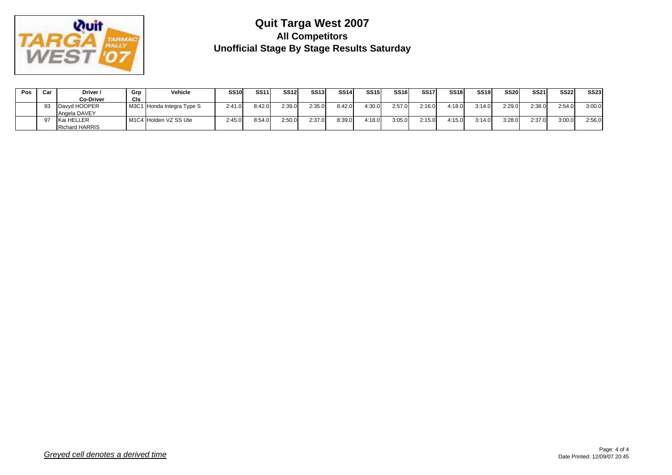

| Pos | Car | Driver /              | Grp | Vehicle                   | <b>SS10</b> | <b>SS11</b> | <b>SS12</b> | <b>SS13</b> | <b>SS14</b> | <b>SS15</b> | SS <sub>16</sub> | <b>SS17</b> | SS <sub>18</sub> | SS <sub>19</sub> | SS <sub>20</sub> | <b>SS21</b> | <b>SS22</b> | <b>SS23</b> |
|-----|-----|-----------------------|-----|---------------------------|-------------|-------------|-------------|-------------|-------------|-------------|------------------|-------------|------------------|------------------|------------------|-------------|-------------|-------------|
|     |     | <b>Co-Driver</b>      | CIs |                           |             |             |             |             |             |             |                  |             |                  |                  |                  |             |             |             |
|     | 93  | Davyd HOOPER          |     | M3C1 Honda Integra Type S | 2:41.0      | 8:42.0      | 2:39.0      | 2:35.0      | 8:42.0      | 1:30.0      | 2:57.0           | 2:16.0      | 4:18.0           | 3:14.0           | 2:29.0           | 2:38.0      | 2:54.0      | 3:00.0      |
|     |     | Angela DAVEY          |     |                           |             |             |             |             |             |             |                  |             |                  |                  |                  |             |             |             |
|     | 97  | Kai HELLER            |     | M1C4 Holden VZ SS Ute     | 2:45.0      | 8:54.0      | 2:50.0      | 2:37.0      | 8:39.0      | 4:18.0      | 3:05.0           | 2:15.0      | 4:15.0           | 3:14.0           | 3:28.0           | 2:37.0      | 3:00.0      | 2:56.0      |
|     |     | <b>Richard HARRIS</b> |     |                           |             |             |             |             |             |             |                  |             |                  |                  |                  |             |             |             |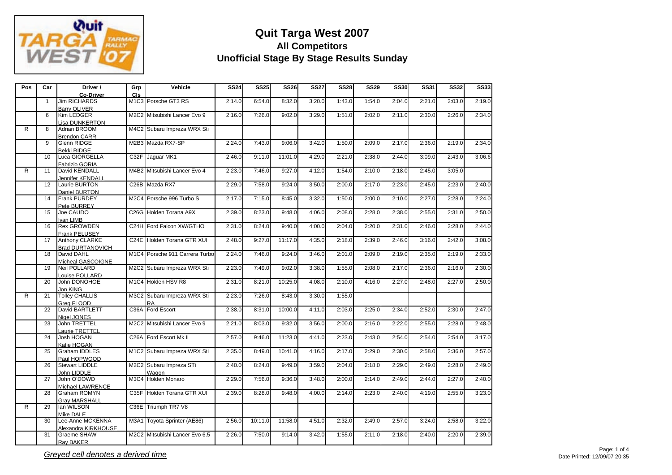

| Pos | Car             | Driver /                | Grp        | Vehicle                        | <b>SS24</b> | <b>SS25</b> | <b>SS26</b> | <b>SS27</b> | <b>SS28</b> | <b>SS29</b> | <b>SS30</b> | <b>SS31</b> | <b>SS32</b> | <b>SS33</b> |
|-----|-----------------|-------------------------|------------|--------------------------------|-------------|-------------|-------------|-------------|-------------|-------------|-------------|-------------|-------------|-------------|
|     |                 | <b>Co-Driver</b>        | <b>CIs</b> |                                |             |             |             |             |             |             |             |             |             |             |
|     | $\overline{1}$  | <b>Jim RICHARDS</b>     |            | M1C3 Porsche GT3 RS            | 2:14.0      | 6:54.0      | 8:32.0      | 3:20.0      | 1:43.0      | 1:54.0      | 2:04.0      | 2:21.0      | 2:03.0      | 2:19.0      |
|     |                 | <b>Barry OLIVER</b>     |            |                                |             |             |             |             |             |             |             |             |             |             |
|     | 6               | Kim LEDGER              |            | M2C2 Mitsubishi Lancer Evo 9   | 2:16.0      | 7:26.0      | 9:02.0      | 3:29.0      | 1:51.0      | 2:02.0      | 2:11.0      | 2:30.0      | 2:26.0      | 2:34.0      |
|     |                 | Lisa DUNKERTON          |            |                                |             |             |             |             |             |             |             |             |             |             |
| R   | 8               | Adrian BROOM            |            | M4C2 Subaru Impreza WRX Sti    |             |             |             |             |             |             |             |             |             |             |
|     |                 | <b>Brendon CARR</b>     |            |                                |             |             |             |             |             |             |             |             |             |             |
|     | $\mathbf{q}$    | Glenn RIDGE             |            | M2B3 Mazda RX7-SP              | 2:24.0      | 7:43.0      | 9:06.0      | 3:42.0      | 1:50.0      | 2:09.0      | 2:17.0      | 2:36.0      | 2:19.0      | 2:34.0      |
|     |                 | <b>Bekki RIDGE</b>      |            |                                |             |             |             |             |             |             |             |             |             |             |
|     | 10              | Luca GIORGELLA          |            | C32F Jaguar MK1                | 2:46.0      | 9:11.0      | 11:01.0     | 4:29.0      | 2:21.0      | 2:38.0      | 2:44.0      | 3:09.0      | 2:43.0      | 3:06.6      |
|     |                 | Fabrizio GORIA          |            |                                |             |             |             |             |             |             |             |             |             |             |
| R   | 11              | David KENDALL           |            | M4B2 Mitsubishi Lancer Evo 4   | 2:23.0      | 7:46.0      | 9:27.0      | 4:12.0      | 1:54.0      | 2:10.0      | 2:18.0      | 2:45.0      | 3:05.0      |             |
|     |                 | <b>Jennifer KENDALL</b> |            |                                |             |             |             |             |             |             |             |             |             |             |
|     | 12              | Laurie BURTON           |            | C26B Mazda RX7                 | 2:29.0      | 7:58.0      | 9:24.0      | 3:50.0      | 2:00.0      | 2:17.0      | 2:23.0      | 2:45.0      | 2:23.0      | 2:40.0      |
|     |                 | Daniel BURTON           |            |                                |             |             |             |             |             |             |             |             |             |             |
|     | 14              | <b>Frank PURDEY</b>     |            | M2C4 Porsche 996 Turbo S       | 2:17.0      | 7:15.0      | 8:45.0      | 3:32.0      | 1:50.0      | 2:00.0      | 2:10.0      | 2:27.0      | 2:28.0      | 2:24.0      |
|     |                 | Pete BURREY             |            |                                |             |             |             |             |             |             |             |             |             |             |
|     | 15              | Joe CAUDO               |            | C26G Holden Torana A9X         | 2:39.0      | 8:23.0      | 9:48.0      | 4:06.0      | 2:08.0      | 2:28.0      | 2:38.0      | 2:55.0      | 2:31.0      | 2:50.0      |
|     |                 | Ivan LIMB               |            |                                |             |             |             |             |             |             |             |             |             |             |
|     | 16              | <b>Rex GROWDEN</b>      |            | C24H Ford Falcon XW/GTHO       | 2:31.0      | 8:24.0      | 9:40.0      | 4:00.0      | 2:04.0      | 2:20.0      | 2:31.0      | 2:46.0      | 2:28.0      | 2:44.0      |
|     |                 | <b>Frank PELUSEY</b>    |            |                                |             |             |             |             |             |             |             |             |             |             |
|     | 17              | Anthony CLARKE          |            | C24E Holden Torana GTR XUI     | 2:48.0      | 9:27.0      | 11:17.0     | 4:35.0      | 2:18.0      | 2:39.0      | 2:46.0      | 3:16.0      | 2:42.0      | 3:08.0      |
|     |                 | <b>Brad DURTANOVICH</b> |            |                                |             |             |             |             |             |             |             |             |             |             |
|     | 18              | David DAHL              |            | M1C4 Porsche 911 Carrera Turbo | 2:24.0      | 7:46.0      | 9:24.0      | 3:46.0      | 2:01.0      | 2:09.0      | 2:19.0      | 2:35.0      | 2:19.0      | 2:33.0      |
|     |                 | Micheal GASCOIGNE       |            |                                |             |             |             |             |             |             |             |             |             |             |
|     | 19              | <b>Neil POLLARD</b>     |            | M2C2 Subaru Impreza WRX Sti    | 2:23.0      | 7:49.0      | 9:02.0      | 3:38.0      | 1:55.0      | 2:08.0      | 2:17.0      | 2:36.0      | 2:16.0      | 2:30.0      |
|     |                 | Louise POLLARD          |            |                                |             |             |             |             |             |             |             |             |             |             |
|     | 20              | John DONOHOE            |            | M1C4 Holden HSV R8             | 2:31.0      | 8:21.0      | 10:25.0     | 4:08.0      | 2:10.0      | 4:16.0      | 2:27.0      | 2:48.0      | 2:27.0      | 2:50.0      |
|     |                 | Jon KING                |            |                                |             |             |             |             |             |             |             |             |             |             |
| R   | 21              | <b>Tolley CHALLIS</b>   |            | M3C2 Subaru Impreza WRX Sti    | 2:23.0      | 7:26.0      | 8:43.0      | 3:30.0      | 1:55.0      |             |             |             |             |             |
|     |                 | Grea FLOOD              |            | <b>RA</b>                      |             |             |             |             |             |             |             |             |             |             |
|     | 22              | David BARTLETT          |            | C36A Ford Escort               | 2:38.0      | 8:31.0      | 10:00.0     | 4:11.0      | 2:03.0      | 2:25.0      | 2:34.0      | 2:52.0      | 2:30.0      | 2:47.0      |
|     |                 | Nigel JONES             |            |                                |             |             |             |             |             |             |             |             |             |             |
|     | 23              | John TRETTEL            |            | M2C2 Mitsubishi Lancer Evo 9   | 2:21.0      | 8:03.0      | 9:32.0      | 3:56.0      | 2:00.0      | 2:16.0      | 2:22.0      | 2:55.0      | 2:28.0      | 2:48.0      |
|     |                 | Laurie TRETTEL          |            |                                |             |             |             |             |             |             |             |             |             |             |
|     | 24              | Josh HOGAN              |            | C26A Ford Escort Mk II         | 2:57.0      | 9:46.0      | 11:23.0     | 4:41.0      | 2:23.0      | 2:43.0      | 2:54.0      | 2:54.0      | 2:54.0      | 3:17.0      |
|     |                 | Katie HOGAN             |            |                                |             |             |             |             |             |             |             |             |             |             |
|     | 25              | <b>Graham IDDLES</b>    |            | M1C2 Subaru Impreza WRX Sti    | 2:35.0      | 8:49.0      | 10:41.0     | 4:16.0      | 2:17.0      | 2:29.0      | 2:30.0      | 2:58.0      | 2:36.0      | 2:57.0      |
|     |                 | Paul HOPWOOD            |            |                                |             |             |             |             |             |             |             |             |             |             |
|     | 26              | <b>Stewart LIDDLE</b>   |            | M2C2 Subaru Impreza STi        | 2:40.0      | 8:24.0      | 9:49.0      | 3:59.0      | 2:04.0      | 2:18.0      | 2:29.0      | 2:49.0      | 2:28.0      | 2:49.0      |
|     |                 | John LIDDLE             |            | Wagon                          |             |             |             |             |             |             |             |             |             |             |
|     | $\overline{27}$ | John O'DOWD             |            | M3C4 Holden Monaro             | 2:29.0      | 7:56.0      | 9:36.0      | 3:48.0      | 2:00.0      | 2:14.0      | 2:49.0      | 2:44.0      | 2:27.0      | 2:40.0      |
|     |                 | Michael LAWRENCE        |            |                                |             |             |             |             |             |             |             |             |             |             |
|     | 28              | <b>Graham ROMYN</b>     |            | C35F Holden Torana GTR XUI     | 2:39.0      | 8:28.0      | 9:48.0      | 4:00.0      | 2:14.0      | 2:23.0      | 2:40.0      | 4:19.0      | 2:55.0      | 3:23.0      |
|     |                 | <b>Grav MARSHALL</b>    |            |                                |             |             |             |             |             |             |             |             |             |             |
| R   | 29              | lan WILSON              |            | C36E Triumph TR7 V8            |             |             |             |             |             |             |             |             |             |             |
|     |                 | Mike DALE               |            |                                |             |             |             |             |             |             |             |             |             |             |
|     | 30              | Lee-Anne MCKENNA        |            | M3A1 Toyota Sprinter (AE86)    | 2:56.0      | 10:11.0     | 11:58.0     | 4:51.0      | 2:32.0      | 2:49.0      | 2:57.0      | 3:24.0      | 2:58.0      | 3:22.0      |
|     |                 | Alexandra KIRKHOUSE     |            |                                |             |             |             |             |             |             |             |             |             |             |
|     | 31              | Graeme SHAW             |            | M2C2 Mitsubishi Lancer Evo 6.5 | 2:26.0      | 7:50.0      | 9:14.0      | 3:42.0      | 1:55.0      | 2:11.0      | 2:18.0      | 2:40.0      | 2:20.0      | 2:39.0      |
|     |                 | Ray BAKER               |            |                                |             |             |             |             |             |             |             |             |             |             |
|     |                 |                         |            |                                |             |             |             |             |             |             |             |             |             |             |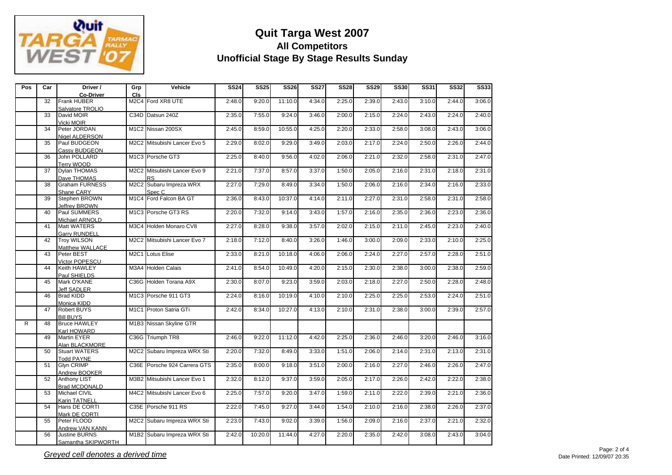

| Pos | Car | Driver /              | Grp        | Vehicle                                               | <b>SS24</b> | <b>SS25</b> | <b>SS26</b> | <b>SS27</b> | <b>SS28</b> | <b>SS29</b> | <b>SS30</b> | <b>SS31</b> | <b>SS32</b> | <b>SS33</b> |
|-----|-----|-----------------------|------------|-------------------------------------------------------|-------------|-------------|-------------|-------------|-------------|-------------|-------------|-------------|-------------|-------------|
|     |     | <b>Co-Driver</b>      | <b>CIs</b> |                                                       |             |             |             |             |             |             |             |             |             |             |
|     | 32  | <b>Frank HUBER</b>    |            | M2C4 Ford XR8 UTE                                     | 2:48.0      | 9:20.0      | 11:10.0     | 4:34.0      | 2:25.0      | 2:39.0      | 2:43.0      | 3:10.0      | 2:44.0      | 3:06.0      |
|     |     | Salvatore TROLIO      |            |                                                       |             |             |             |             |             |             |             |             |             |             |
|     | 33  | David MOIR            |            | C34D Datsun 240Z                                      | 2:35.0      | 7:55.0      | 9:24.0      | 3:46.0      | 2:00.0      | 2:15.0      | 2:24.0      | 2:43.0      | 2:24.0      | 2:40.0      |
|     |     | Vicki MOIR            |            |                                                       |             |             |             |             |             |             |             |             |             |             |
|     | 34  | Peter JORDAN          |            | M1C2 Nissan 200SX                                     | 2:45.0      | 8:59.0      | 10:55.0     | 4:25.0      | 2:20.0      | 2:33.0      | 2:58.0      | 3:08.0      | 2:43.0      | 3:06.0      |
|     |     | Nigel ALDERSON        |            |                                                       |             |             |             |             |             |             |             |             |             |             |
|     | 35  | Paul BUDGEON          |            | M2C2 Mitsubishi Lancer Evo 5                          | 2:29.0      | 8:02.0      | 9:29.0      | 3:49.0      | 2:03.0      | 2:17.0      | 2:24.0      | 2:50.0      | 2:26.0      | 2:44.0      |
|     |     | Cassy BUDGEON         |            |                                                       |             |             |             |             |             |             |             |             |             |             |
|     | 36  | John POLLARD          |            | M <sub>1</sub> C <sub>3</sub> Porsche GT <sub>3</sub> | 2:25.0      | 8:40.0      | 9:56.0      | 4:02.0      | 2:06.0      | 2:21.0      | 2:32.0      | 2:58.0      | 2:31.0      | 2:47.0      |
|     |     | Terry WOOD            |            |                                                       |             |             |             |             |             |             |             |             |             |             |
|     | 37  | Dvlan THOMAS          |            | M2C2 Mitsubishi Lancer Evo 9                          | 2:21.0      | 7:37.0      | 8:57.0      | 3:37.0      | 1:50.0      | 2:05.0      | 2:16.0      | 2:31.0      | 2:18.0      | 2:31.0      |
|     |     |                       |            |                                                       |             |             |             |             |             |             |             |             |             |             |
|     |     | Dave THOMAS           |            | <b>RS</b>                                             |             |             |             |             |             |             |             |             |             |             |
|     | 38  | <b>Graham FURNESS</b> |            | M2C2 Subaru Impreza WRX                               | 2:27.0      | 7:29.0      | 8:49.0      | 3:34.0      | 1:50.0      | 2:06.0      | 2:16.0      | 2:34.0      | 2:16.0      | 2:33.0      |
|     |     | Shane CARY            |            | Spec <sub>C</sub>                                     |             |             |             |             |             |             |             |             |             |             |
|     | 39  | Stephen BROWN         |            | M1C4 Ford Falcon BA GT                                | 2:36.0      | 8:43.0      | 10:37.0     | 4:14.0      | 2:11.0      | 2:27.0      | 2:31.0      | 2:58.0      | 2:31.0      | 2:58.0      |
|     |     | Jeffrey BROWN         |            |                                                       |             |             |             |             |             |             |             |             |             |             |
|     | 40  | Paul SUMMERS          |            | M1C3 Porsche GT3 RS                                   | 2:20.0      | 7:32.0      | 9:14.0      | 3:43.0      | 1:57.0      | 2:16.0      | 2:35.0      | 2:36.0      | 2:23.0      | 2:36.0      |
|     |     | Michael ARNOLD        |            |                                                       |             |             |             |             |             |             |             |             |             |             |
|     | 41  | <b>Matt WATERS</b>    |            | M3C4 Holden Monaro CV8                                | 2:27.0      | 8:28.0      | 9:38.0      | 3:57.0      | 2:02.0      | 2:15.0      | 2:11.0      | 2:45.0      | 2:23.0      | 2:40.0      |
|     |     | <b>Garry RUNDELL</b>  |            |                                                       |             |             |             |             |             |             |             |             |             |             |
|     | 42  | <b>Troy WILSON</b>    |            | M2C2 Mitsubishi Lancer Evo 7                          | 2:18.0      | 7:12.0      | 8:40.0      | 3:26.0      | 1:46.0      | 3:00.0      | 2:09.0      | 2:33.0      | 2:10.0      | 2:25.0      |
|     |     | Matthew WALLACE       |            |                                                       |             |             |             |             |             |             |             |             |             |             |
|     | 43  | Peter BEST            |            | M2C1 Lotus Elise                                      | 2:33.0      | 8:21.0      | 10:18.0     | 4:06.0      | 2:06.0      | 2:24.0      | 2:27.0      | 2:57.0      | 2:28.0      | 2:51.0      |
|     |     | Victor POPESCU        |            |                                                       |             |             |             |             |             |             |             |             |             |             |
|     | 44  | Keith HAWLEY          |            | M3A4 Holden Calais                                    | 2:41.0      | 8:54.0      | 10:49.0     | 4:20.0      | 2:15.0      | 2:30.0      | 2:38.0      | 3:00.0      | 2:38.0      | 2:59.0      |
|     |     | Paul SHIELDS          |            |                                                       |             |             |             |             |             |             |             |             |             |             |
|     | 45  | Mark O'KANE           |            | C36G Holden Torana A9X                                | 2:30.0      | 8:07.0      | 9:23.0      | 3:59.0      | 2:03.0      | 2:18.0      | 2:27.0      | 2:50.0      | 2:28.0      | 2:48.0      |
|     |     | <b>Jeff SADLER</b>    |            |                                                       |             |             |             |             |             |             |             |             |             |             |
|     | 46  | <b>Brad KIDD</b>      |            | M1C3 Porsche 911 GT3                                  | 2:24.0      | 8:16.0      | 10:19.0     | 4:10.0      | 2:10.0      | 2:25.0      | 2:25.0      | 2:53.0      | 2:24.0      | 2:51.0      |
|     |     | Monica KIDD           |            |                                                       |             |             |             |             |             |             |             |             |             |             |
|     | 47  | <b>Robert BUYS</b>    |            | M1C1 Proton Satria GTi                                | 2:42.0      | 8:34.0      | 10:27.0     | 4:13.0      | 2:10.0      | 2:31.0      | 2:38.0      | 3:00.0      | 2:39.0      | 2:57.0      |
|     |     | <b>Bill BUYS</b>      |            |                                                       |             |             |             |             |             |             |             |             |             |             |
| R   | 48  | <b>Bruce HAWLEY</b>   |            | M1B3 Nissan Skyline GTR                               |             |             |             |             |             |             |             |             |             |             |
|     |     |                       |            |                                                       |             |             |             |             |             |             |             |             |             |             |
|     | 49  | Karl HOWARD           |            |                                                       |             |             |             |             |             |             |             |             |             |             |
|     |     | <b>Martin EYER</b>    |            | C36G Triumph TR8                                      | 2:46.0      | 9:22.0      | 11:12.0     | 4:42.0      | 2:25.0      | 2:36.0      | 2:46.0      | 3:20.0      | 2:46.0      | 3:16.0      |
|     |     | Alan BLACKMORE        |            |                                                       |             |             |             |             |             |             |             |             |             |             |
|     | 50  | <b>Stuart WATERS</b>  |            | M2C2 Subaru Impreza WRX Sti                           | 2:20.0      | 7:32.0      | 8:49.0      | 3:33.0      | 1:51.0      | 2:06.0      | 2:14.0      | 2:31.0      | 2:13.0      | 2:31.0      |
|     |     | <b>Todd PAYNE</b>     |            |                                                       |             |             |             |             |             |             |             |             |             |             |
|     | 51  | <b>Glyn CRIMP</b>     |            | C36E Porsche 924 Carrera GTS                          | 2:35.0      | 8:00.0      | 9:18.0      | 3:51.0      | 2:00.0      | 2:16.0      | 2:27.0      | 2:46.0      | 2:26.0      | 2:47.0      |
|     |     | Andrew BOOKER         |            |                                                       |             |             |             |             |             |             |             |             |             |             |
|     | 52  | <b>Anthony LIST</b>   |            | M3B2 Mitsubishi Lancer Evo 1                          | 2:32.0      | 8:12.0      | 9:37.0      | 3:59.0      | 2:05.0      | 2:17.0      | 2:26.0      | 2:42.0      | 2:22.0      | 2:38.0      |
|     |     | <b>Brad MCDONALD</b>  |            |                                                       |             |             |             |             |             |             |             |             |             |             |
|     | 53  | Michael CIVIL         |            | M4C2 Mitsubishi Lancer Evo 6                          | 2:25.0      | 7:57.0      | 9:20.0      | 3:47.0      | 1:59.0      | 2:11.0      | 2:22.0      | 2:39.0      | 2:21.0      | 2:36.0      |
|     |     | <b>Karin TATNELL</b>  |            |                                                       |             |             |             |             |             |             |             |             |             |             |
|     | 54  | Hans DE CORTI         |            | C35E Porsche 911 RS                                   | 2:22.0      | 7:45.0      | 9:27.0      | 3:44.0      | 1:54.0      | 2:10.0      | 2:16.0      | 2:38.0      | 2:26.0      | 2:37.0      |
|     |     | Mark DE CORTI         |            |                                                       |             |             |             |             |             |             |             |             |             |             |
|     | 55  | Peter FLOOD           |            | M2C2 Subaru Impreza WRX Sti                           | 2:23.0      | 7:43.0      | 9:02.0      | 3:39.0      | 1:56.0      | 2:09.0      | 2:16.0      | 2:37.0      | 2:21.0      | 2:32.0      |
|     |     | Andrew VAN KANN       |            |                                                       |             |             |             |             |             |             |             |             |             |             |
|     | 56  | <b>Justine BURNS</b>  |            | M1B2 Subaru Impreza WRX Sti                           | 2:42.0      | 10:20.0     | 11:44.0     | 4:27.0      | 2:20.0      | 2:35.0      | 2:42.0      | 3:08.0      | 2:43.0      | 3:04.0      |
|     |     | Samantha SKIPWORTH    |            |                                                       |             |             |             |             |             |             |             |             |             |             |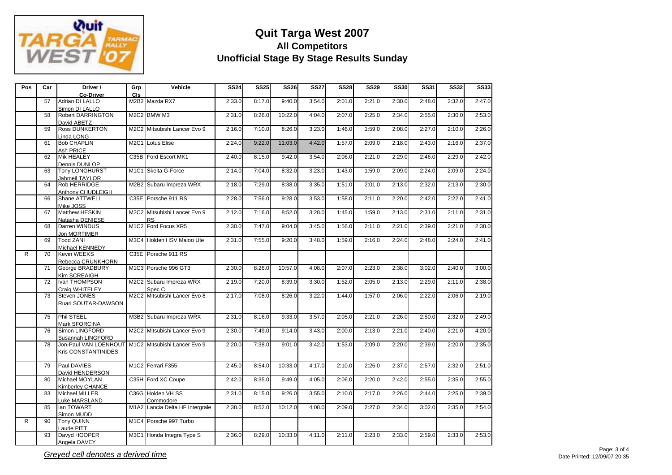

| Pos | Car             | Driver /                                           | Grp        | Vehicle                         | <b>SS24</b> | <b>SS25</b> | <b>SS26</b> | <b>SS27</b> | <b>SS28</b> | <b>SS29</b> | <b>SS30</b> | <b>SS31</b> | <b>SS32</b> | <b>SS33</b> |
|-----|-----------------|----------------------------------------------------|------------|---------------------------------|-------------|-------------|-------------|-------------|-------------|-------------|-------------|-------------|-------------|-------------|
|     |                 | <b>Co-Driver</b>                                   | <b>CIs</b> |                                 |             |             |             |             |             |             |             |             |             |             |
|     | 57              | Adrian DI LALLO                                    |            | M2B2 Mazda RX7                  | 2:33.0      | 8:17.0      | 9:40.0      | 3:54.0      | 2:01.0      | 2:21.0      | 2:30.0      | 2:48.0      | 2:32.0      | 2:47.0      |
|     |                 | Simon DI LALLO                                     |            |                                 |             |             |             |             |             |             |             |             |             |             |
|     | $\overline{58}$ | <b>Robert DARRINGTON</b>                           |            | M2C2 BMW M3                     | 2:31.0      | 8:26.0      | 10:22.0     | 4:04.0      | 2:07.0      | 2:25.0      | 2:34.0      | 2:55.0      | 2:30.0      | 2:53.0      |
|     |                 | David ABETZ                                        |            |                                 |             |             |             |             |             |             |             |             |             |             |
|     | 59              | <b>Ross DUNKERTON</b>                              |            | M2C2 Mitsubishi Lancer Evo 9    | 2:16.0      | 7:10.0      | 8:26.0      | 3:23.0      | 1:46.0      | 1:59.0      | 2:08.0      | 2:27.0      | 2:10.0      | 2:26.0      |
|     |                 | Linda LONG                                         |            |                                 |             |             |             |             |             |             |             |             |             |             |
|     | 61              | <b>Bob CHAPLIN</b>                                 |            | M2C1 Lotus Elise                | 2:24.0      | 9:22.0      | 11:03.0     | 4:42.0      | 1:57.0      | 2:09.0      | 2:18.0      | 2:43.0      | 2:16.0      | 2:37.0      |
|     |                 | Ash PRICE                                          |            |                                 |             |             |             |             |             |             |             |             |             |             |
|     | 62              | Mik HEALEY                                         |            | C35B Ford Escort MK1            | 2:40.0      | 8:15.0      | 9:42.0      | 3:54.0      | 2:06.0      | 2:21.0      | 2:29.0      | 2:46.0      | 2:29.0      | 2:42.0      |
|     |                 | <b>Dennis DUNLOP</b>                               |            |                                 |             |             |             |             |             |             |             |             |             |             |
|     | 63              | <b>Tony LONGHURST</b>                              |            | M1C1 Skelta G-Force             | 2:14.0      | 7:04.0      | 8:32.0      | 3:23.0      | 1:43.0      | 1:59.0      | 2:09.0      | 2:24.0      | 2:09.0      | 2:24.0      |
|     |                 | Jahmeil TAYLOR                                     |            |                                 |             |             |             |             |             |             |             |             |             |             |
|     | 64              | Rob HERRIDGE                                       |            | M2B2 Subaru Impreza WRX         | 2:18.0      | 7:29.0      | 8:38.0      | 3:35.0      | 1:51.0      | 2:01.0      | 2:13.0      | 2:32.0      | 2:13.0      | 2:30.0      |
|     |                 | Anthony CHUDLEIGH                                  |            |                                 |             |             |             |             |             |             |             |             |             |             |
|     | 66              | <b>Shane ATTWELL</b>                               |            | C35E Porsche 911 RS             | 2:28.0      | 7:56.0      | 9:28.0      | 3:53.0      | 1:58.0      | 2:11.0      | 2:20.0      | 2:42.0      | 2:22.0      | 2:41.0      |
|     |                 | Mike JOSS                                          |            |                                 |             |             |             |             |             |             |             |             |             |             |
|     | 67              | Matthew HESKIN                                     |            | M2C2 Mitsubishi Lancer Evo 9    | 2:12.0      | 7:16.0      | 8:52.0      | 3:28.0      | 1:45.0      | 1:59.0      | 2:13.0      | 2:31.0      | 2:11.0      | 2:31.0      |
|     |                 | Natasha DENIESE                                    |            | <b>RS</b>                       |             |             |             |             |             |             |             |             |             |             |
|     | 68              | Darren WINDUS                                      |            | M1C2 Ford Focus XR5             | 2:30.0      | 7:47.0      | 9:04.0      | 3:45.0      | 1:56.0      | 2:11.0      | 2:21.0      | 2:39.0      | 2:21.0      | 2:38.0      |
|     |                 | Jon MORTIMER                                       |            |                                 |             |             |             |             |             |             |             |             |             |             |
|     | 69              | <b>Todd ZANI</b>                                   |            | M3C4 Holden HSV Maloo Ute       | 2:31.0      | 7:55.0      | 9:20.0      | 3:48.0      | 1:59.0      | 2:16.0      | 2:24.0      | 2:48.0      | 2:24.0      | 2:41.0      |
|     |                 | Michael KENNEDY                                    |            |                                 |             |             |             |             |             |             |             |             |             |             |
| R   | 70              | <b>Kevin WEEKS</b>                                 |            | C35E Porsche 911 RS             |             |             |             |             |             |             |             |             |             |             |
|     |                 | Rebecca CRUNKHORN                                  |            |                                 |             |             |             |             |             |             |             |             |             |             |
|     | 71              | George BRADBURY                                    |            | M1C3 Porsche 996 GT3            | 2:30.0      | 8:26.0      | 10:57.0     | 4:08.0      | 2:07.0      | 2:23.0      | 2:38.0      | 3:02.0      | 2:40.0      | 3:00.0      |
|     |                 | Kim SCREAIGH                                       |            |                                 |             |             |             |             |             |             |             |             |             |             |
|     | 72              | Ivan THOMPSON                                      |            | M2C2 Subaru Impreza WRX         | 2:19.0      | 7:20.0      | 8:39.0      | 3:30.0      | 1:52.0      | 2:05.0      | 2:13.0      | 2:29.0      | 2:11.0      | 2:38.0      |
|     |                 | Craia WHITELEY                                     |            | Spec <sub>C</sub>               |             |             |             |             |             |             |             |             |             |             |
|     | 73              | Steven JONES                                       |            | M2C2 Mitsubishi Lancer Evo 8    | 2:17.0      | 7:08.0      | 8:26.0      | 3:22.0      | 1:44.0      | 1:57.0      | 2:06.0      | 2:22.0      | 2:06.0      | 2:19.0      |
|     |                 | Ruari SOUTAR-DAWSON                                |            |                                 |             |             |             |             |             |             |             |             |             |             |
|     |                 |                                                    |            |                                 |             |             |             |             |             |             |             |             |             |             |
|     | 75              | Phil STEEL                                         |            | M3B2 Subaru Impreza WRX         | 2:31.0      | 8:16.0      | 9:33.0      | 3:57.0      | 2:05.0      | 2:21.0      | 2:26.0      | 2:50.0      | 2:32.0      | 2:49.0      |
|     |                 | Mark SFORCINA                                      |            |                                 |             |             |             |             |             |             |             |             |             |             |
|     | 76              | Simon LINGFORD                                     |            | M2C2 Mitsubishi Lancer Evo 9    | 2:30.0      | 7:49.0      | 9:14.0      | 3:43.0      | 2:00.0      | 2:13.0      | 2:21.0      | 2:40.0      | 2:21.0      | 4:20.0      |
|     |                 | Susannah LINGFORD                                  |            |                                 |             |             |             |             |             |             |             |             |             |             |
|     | 78              | Jon-Paul VAN LOENHOUT M1C2 Mitsubishi Lancer Evo 9 |            |                                 | 2:20.0      | 7:38.0      | 9:01.0      | 3:42.0      | 1:53.0      | 2:09.0      | 2:20.0      | 2:39.0      | 2:20.0      | 2:35.0      |
|     |                 | <b>Kris CONSTANTINIDES</b>                         |            |                                 |             |             |             |             |             |             |             |             |             |             |
|     |                 |                                                    |            |                                 |             |             |             |             |             |             |             |             |             |             |
|     | 79              | Paul DAVIES                                        |            | M1C2 Ferrari F355               | 2:45.0      | 8:54.0      | 10:33.0     | 4:17.0      | 2:10.0      | 2:26.0      | 2:37.0      | 2:57.0      | 2:32.0      | 2:51.0      |
|     |                 | David HENDERSON                                    |            |                                 |             |             |             |             |             |             |             |             |             |             |
|     | 80              | Michael MOYLAN                                     |            | C35H Ford XC Coupe              | 2:42.0      | 8:35.0      | 9:49.0      | 4:05.0      | 2:06.0      | 2:20.0      | 2:42.0      | 2:55.0      | 2:35.0      | 2:55.0      |
|     |                 | Kimberley CHANCE                                   |            |                                 |             |             |             |             |             |             |             |             |             |             |
|     | 83              | Michael MILLER                                     |            | C36G Holden VH SS               | 2:31.0      | 8:15.0      | 9:26.0      | 3:55.0      | 2:10.0      | 2:17.0      | 2:26.0      | 2:44.0      | 2:25.0      | 2:39.0      |
|     |                 | Luke MARSLAND                                      |            | Commodore                       |             |             |             |             |             |             |             |             |             |             |
|     | 85              | lan TOWART                                         |            | M1A2 Lancia Delta HF Intergrale | 2:38.0      | 8:52.0      | 10:12.0     | 4:08.0      | 2:09.0      | 2:27.0      | 2:34.0      | 3:02.0      | 2:35.0      | 2:54.0      |
|     |                 | Simon MUDD                                         |            |                                 |             |             |             |             |             |             |             |             |             |             |
| R   | 90              | <b>Tony QUINN</b>                                  |            | M1C4 Porsche 997 Turbo          |             |             |             |             |             |             |             |             |             |             |
|     |                 | Laurie PITT                                        |            |                                 |             |             |             |             |             |             |             |             |             |             |
|     | 93              | Davyd HOOPER                                       |            | M3C1 Honda Integra Type S       | 2:36.0      | 8:29.0      | 10:33.0     | 4:11.0      | 2:11.0      | 2:23.0      | 2:33.0      | 2:59.0      | 2:33.0      | 2:53.0      |
|     |                 | Angela DAVEY                                       |            |                                 |             |             |             |             |             |             |             |             |             |             |
|     |                 |                                                    |            |                                 |             |             |             |             |             |             |             |             |             |             |